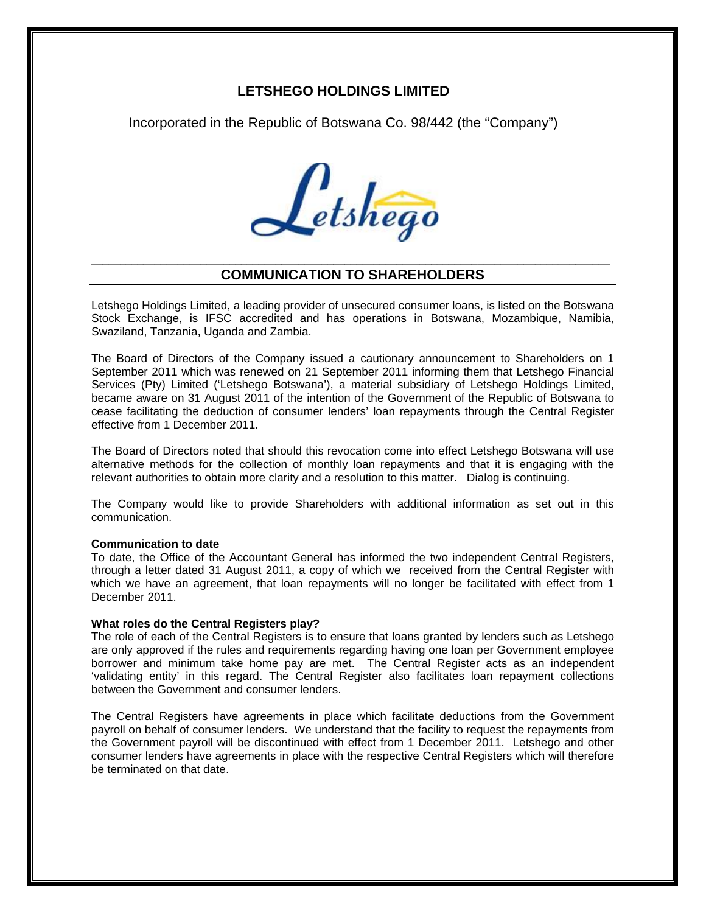# **LETSHEGO HOLDINGS LIMITED**

Incorporated in the Republic of Botswana Co. 98/442 (the "Company")



## \_\_\_\_\_\_\_\_\_\_\_\_\_\_\_\_\_\_\_\_\_\_\_\_\_\_\_\_\_\_\_\_\_\_\_\_\_\_\_\_\_\_\_\_\_\_\_\_\_\_\_\_\_\_\_\_\_\_\_\_\_\_\_\_\_\_\_\_\_\_\_\_\_\_\_\_\_\_\_\_\_\_\_\_\_\_\_\_\_\_ **COMMUNICATION TO SHAREHOLDERS**

Letshego Holdings Limited, a leading provider of unsecured consumer loans, is listed on the Botswana Stock Exchange, is IFSC accredited and has operations in Botswana, Mozambique, Namibia, Swaziland, Tanzania, Uganda and Zambia.

The Board of Directors of the Company issued a cautionary announcement to Shareholders on 1 September 2011 which was renewed on 21 September 2011 informing them that Letshego Financial Services (Pty) Limited ('Letshego Botswana'), a material subsidiary of Letshego Holdings Limited, became aware on 31 August 2011 of the intention of the Government of the Republic of Botswana to cease facilitating the deduction of consumer lenders' loan repayments through the Central Register effective from 1 December 2011.

The Board of Directors noted that should this revocation come into effect Letshego Botswana will use alternative methods for the collection of monthly loan repayments and that it is engaging with the relevant authorities to obtain more clarity and a resolution to this matter. Dialog is continuing.

The Company would like to provide Shareholders with additional information as set out in this communication.

#### **Communication to date**

To date, the Office of the Accountant General has informed the two independent Central Registers, through a letter dated 31 August 2011, a copy of which we received from the Central Register with which we have an agreement, that loan repayments will no longer be facilitated with effect from 1 December 2011.

## **What roles do the Central Registers play?**

The role of each of the Central Registers is to ensure that loans granted by lenders such as Letshego are only approved if the rules and requirements regarding having one loan per Government employee borrower and minimum take home pay are met. The Central Register acts as an independent 'validating entity' in this regard. The Central Register also facilitates loan repayment collections between the Government and consumer lenders.

The Central Registers have agreements in place which facilitate deductions from the Government payroll on behalf of consumer lenders. We understand that the facility to request the repayments from the Government payroll will be discontinued with effect from 1 December 2011. Letshego and other consumer lenders have agreements in place with the respective Central Registers which will therefore be terminated on that date.